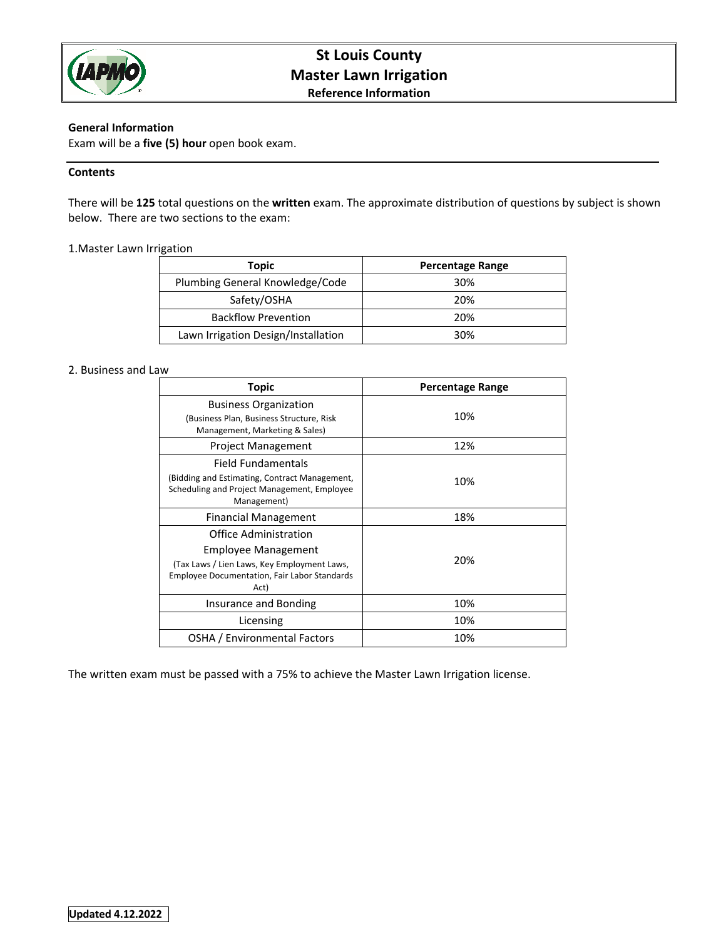

# **St Louis County Master Lawn Irrigation Reference Information**

## **General Information**

Exam will be a **five (5) hour** open book exam.

## **Contents**

There will be **125** total questions on the **written** exam. The approximate distribution of questions by subject is shown below. There are two sections to the exam:

## 1.Master Lawn Irrigation

| Topic                               | <b>Percentage Range</b> |
|-------------------------------------|-------------------------|
| Plumbing General Knowledge/Code     | 30%                     |
| Safety/OSHA                         | 20%                     |
| <b>Backflow Prevention</b>          | 20%                     |
| Lawn Irrigation Design/Installation | 30%                     |

#### 2. Business and Law

| <b>Topic</b>                                                                                                                                               | <b>Percentage Range</b> |
|------------------------------------------------------------------------------------------------------------------------------------------------------------|-------------------------|
| <b>Business Organization</b><br>(Business Plan, Business Structure, Risk<br>Management, Marketing & Sales)                                                 | 10%                     |
| <b>Project Management</b>                                                                                                                                  | 12%                     |
| Field Fundamentals<br>(Bidding and Estimating, Contract Management,<br>Scheduling and Project Management, Employee<br>Management)                          | 10%                     |
| Financial Management                                                                                                                                       | 18%                     |
| Office Administration<br>Employee Management<br>(Tax Laws / Lien Laws, Key Employment Laws,<br><b>Employee Documentation, Fair Labor Standards</b><br>Act) | 20%                     |
| Insurance and Bonding                                                                                                                                      | 10%                     |
| Licensing                                                                                                                                                  | 10%                     |
| OSHA / Environmental Factors                                                                                                                               | 10%                     |

The written exam must be passed with a 75% to achieve the Master Lawn Irrigation license.